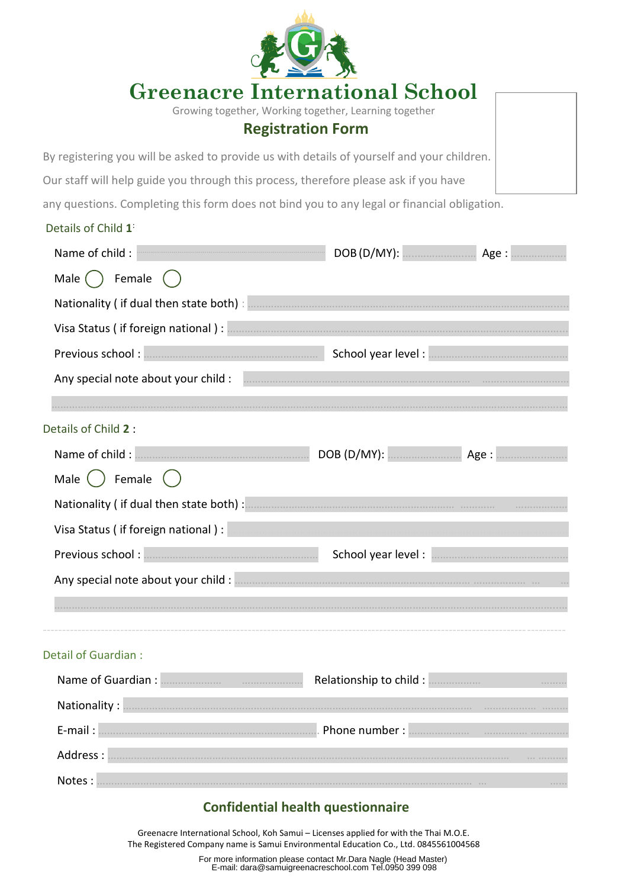|                                                                                                                                                                                                                                                 | <b>Greenacre International School</b>                                             |  |
|-------------------------------------------------------------------------------------------------------------------------------------------------------------------------------------------------------------------------------------------------|-----------------------------------------------------------------------------------|--|
|                                                                                                                                                                                                                                                 | Growing together, Working together, Learning together<br><b>Registration Form</b> |  |
| By registering you will be asked to provide us with details of yourself and your children.                                                                                                                                                      |                                                                                   |  |
| Our staff will help guide you through this process, therefore please ask if you have                                                                                                                                                            |                                                                                   |  |
| any questions. Completing this form does not bind you to any legal or financial obligation.                                                                                                                                                     |                                                                                   |  |
| Details of Child 1                                                                                                                                                                                                                              |                                                                                   |  |
| Name of child : Name of child : Name of child : Name of child : Name of child : Name of child : Name of child : Name of child : Name of Child is not a set of the DOB (D/MY): $\frac{1}{2}$ and $\frac{1}{2}$ and $\frac{1}{2}$ and $\frac{1}{$ |                                                                                   |  |
| Male () Female ()                                                                                                                                                                                                                               |                                                                                   |  |
|                                                                                                                                                                                                                                                 |                                                                                   |  |
|                                                                                                                                                                                                                                                 |                                                                                   |  |
|                                                                                                                                                                                                                                                 |                                                                                   |  |
|                                                                                                                                                                                                                                                 |                                                                                   |  |
|                                                                                                                                                                                                                                                 |                                                                                   |  |
| Details of Child 2 :                                                                                                                                                                                                                            |                                                                                   |  |
|                                                                                                                                                                                                                                                 |                                                                                   |  |
| Female<br>Male                                                                                                                                                                                                                                  |                                                                                   |  |
|                                                                                                                                                                                                                                                 |                                                                                   |  |
| Visa Status (if foreign national):                                                                                                                                                                                                              |                                                                                   |  |
|                                                                                                                                                                                                                                                 | School year level :                                                               |  |
|                                                                                                                                                                                                                                                 |                                                                                   |  |
|                                                                                                                                                                                                                                                 |                                                                                   |  |
|                                                                                                                                                                                                                                                 |                                                                                   |  |
| Detail of Guardian :                                                                                                                                                                                                                            |                                                                                   |  |
|                                                                                                                                                                                                                                                 |                                                                                   |  |
|                                                                                                                                                                                                                                                 |                                                                                   |  |
| E-mail: <b>Mail:</b> 2006. All 2006. All 2006. All 2006. All 2007. 2006. All 2007. 2006. All 2006. All 2006. All 2006. All 2006. All 2006. All 2006. All 2006. All 2006. All 2006. All 2006. All 2006. All 2006. All 2006. All 2006             |                                                                                   |  |
|                                                                                                                                                                                                                                                 |                                                                                   |  |
|                                                                                                                                                                                                                                                 |                                                                                   |  |

## **Confidential health questionnaire**

Greenacre International School, Koh Samui – Licenses applied for with the Thai M.O.E. The Registered Company name is Samui Environmental Education Co., Ltd. 0845561004568

> For more information please contact Mr.Dara Nagle (Head Master) E-mail: dara@samuigreenacreschool.com Tel.0950 399 098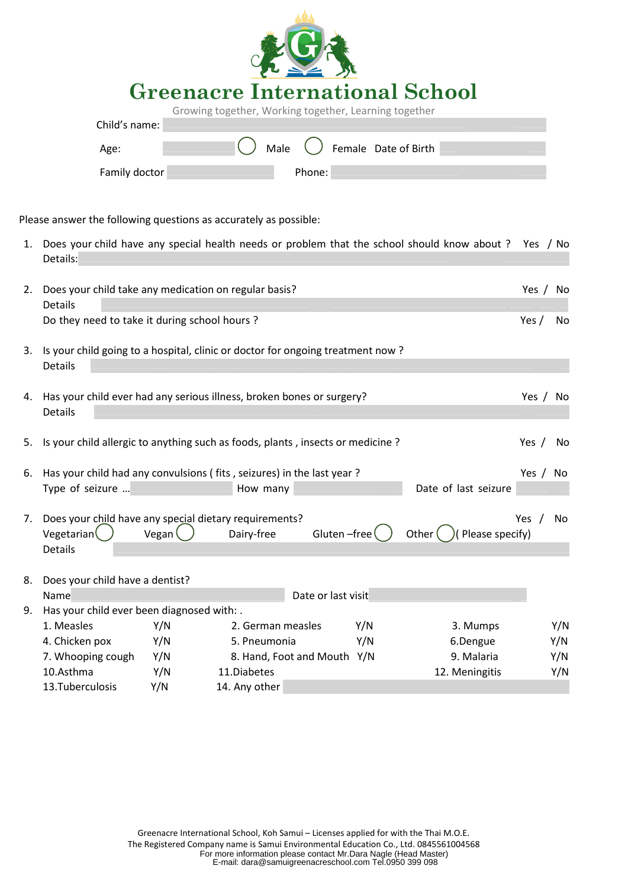|               | <b>Greenacre International School</b><br>Growing together, Working together, Learning together |  |  |  |
|---------------|------------------------------------------------------------------------------------------------|--|--|--|
| Child's name: | .                                                                                              |  |  |  |
| Age:          | Female Date of Birth<br>Male                                                                   |  |  |  |
| Family        | Phone:<br>                                                                                     |  |  |  |

Please answer the following questions as accurately as possible:

| 1. | Details:                                                                                                  |         |                             |                    |     | Does your child have any special health needs or problem that the school should know about ? Yes / No |          |     |
|----|-----------------------------------------------------------------------------------------------------------|---------|-----------------------------|--------------------|-----|-------------------------------------------------------------------------------------------------------|----------|-----|
| 2. | Does your child take any medication on regular basis?<br><b>Details</b>                                   |         |                             |                    |     |                                                                                                       | Yes / No |     |
|    | Do they need to take it during school hours ?                                                             |         |                             |                    |     |                                                                                                       | Yes $/$  | No  |
| 3. | Is your child going to a hospital, clinic or doctor for ongoing treatment now?<br>Details                 |         |                             |                    |     |                                                                                                       |          |     |
|    | 4. Has your child ever had any serious illness, broken bones or surgery?<br>Details                       |         |                             |                    |     |                                                                                                       | Yes / No |     |
| 5. | Is your child allergic to anything such as foods, plants, insects or medicine?                            |         |                             |                    |     |                                                                                                       | Yes /    | No. |
| 6. | Has your child had any convulsions (fits, seizures) in the last year?                                     |         |                             |                    |     |                                                                                                       | Yes / No |     |
|    | Type of seizure <b>International contract of the How many Contract to the Contract of Type of seizure</b> |         |                             |                    |     | Date of last seizure                                                                                  |          |     |
|    |                                                                                                           |         |                             |                    |     |                                                                                                       |          |     |
| 7. | Does your child have any special dietary requirements?                                                    | Vegan ( |                             | Gluten-free        |     |                                                                                                       | Yes $/$  | No  |
|    | Vegetarian<br><b>Details</b>                                                                              |         | Dairy-free                  |                    |     | Other $($ )( Please specify)                                                                          |          |     |
|    |                                                                                                           |         |                             |                    |     |                                                                                                       |          |     |
| 8. | Does your child have a dentist?                                                                           |         |                             |                    |     |                                                                                                       |          |     |
|    | Name                                                                                                      |         |                             | Date or last visit |     |                                                                                                       |          |     |
| 9. | Has your child ever been diagnosed with: .                                                                |         |                             |                    |     |                                                                                                       |          |     |
|    | 1. Measles                                                                                                | Y/N     | 2. German measles           |                    | Y/N | 3. Mumps                                                                                              |          | Y/N |
|    | 4. Chicken pox                                                                                            | Y/N     | 5. Pneumonia                |                    | Y/N | 6.Dengue                                                                                              |          | Y/N |
|    | 7. Whooping cough                                                                                         | Y/N     | 8. Hand, Foot and Mouth Y/N |                    |     | 9. Malaria                                                                                            |          | Y/N |
|    | 10.Asthma                                                                                                 | Y/N     | 11.Diabetes                 |                    |     | 12. Meningitis                                                                                        |          | Y/N |
|    | 13.Tuberculosis                                                                                           | Y/N     | 14. Any other               |                    |     |                                                                                                       |          |     |